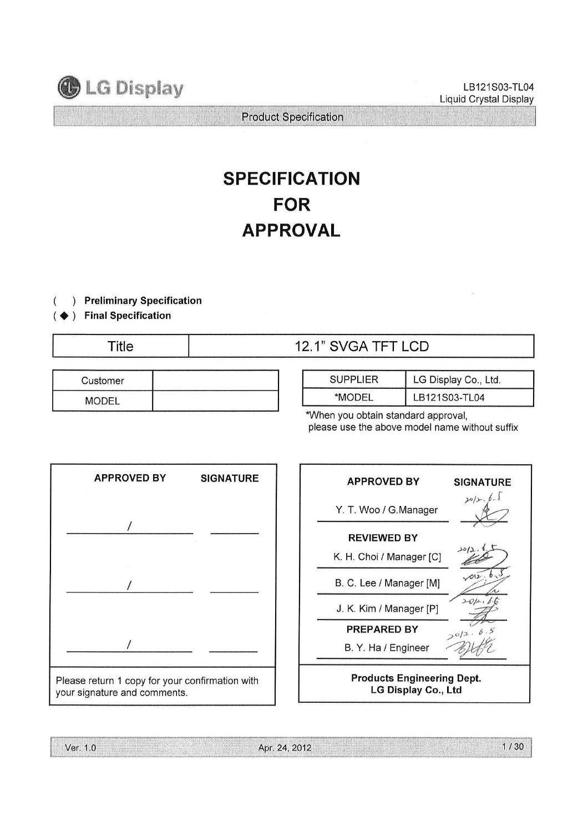

LB121S03-TL04 Liquid Crystal Display

Product Specification

# SPECIFICATION FOR APPROVAL

#### $\left( \right)$ Preliminary Specification

#### ◆ ) Final Specification

| ïtle |  |
|------|--|
|      |  |
|      |  |

# Title 12.1" SVGA TFT LCD

| Customer     |  |
|--------------|--|
| <b>MODEL</b> |  |

| <b>SUPPLIER</b> | LG Display Co., Ltd. |
|-----------------|----------------------|
| *MODEL          | LB121S03-TL04        |

\*When you obtain standard approval, please use the above model name without suffix



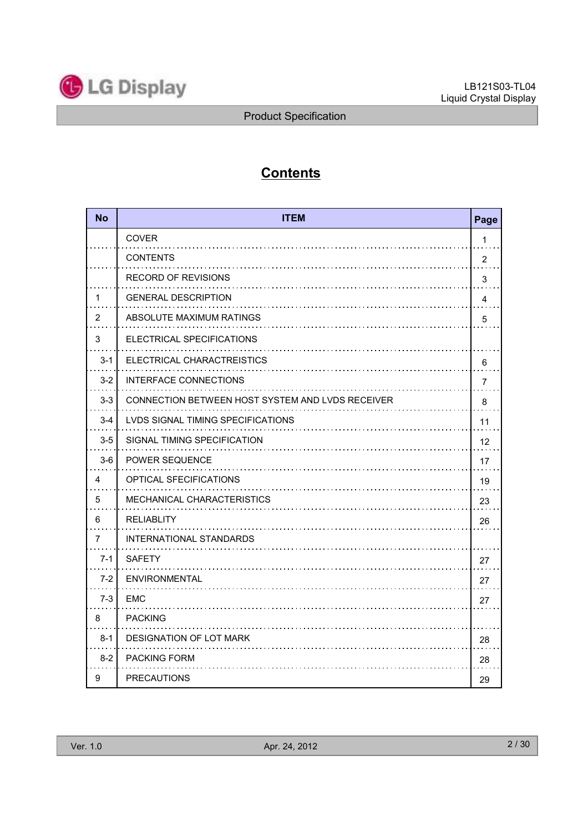

# **Contents**

| <b>No</b> | <b>ITEM</b>                                      | Page           |
|-----------|--------------------------------------------------|----------------|
|           | <b>COVER</b>                                     | 1              |
|           | <b>CONTENTS</b>                                  | $\overline{2}$ |
|           | <b>RECORD OF REVISIONS</b>                       | 3              |
| 1         | <b>GENERAL DESCRIPTION</b>                       | 4              |
| 2         | ABSOLUTE MAXIMUM RATINGS                         | 5              |
| 3         | ELECTRICAL SPECIFICATIONS                        |                |
| $3 - 1$   | ELECTRICAL CHARACTREISTICS                       | 6              |
| $3-2$     | INTERFACE CONNECTIONS                            | 7              |
| $3-3$     | CONNECTION BETWEEN HOST SYSTEM AND LVDS RECEIVER | 8              |
| $3 - 4$   | LVDS SIGNAL TIMING SPECIFICATIONS                | 11             |
| $3-5$     | SIGNAL TIMING SPECIFICATION                      | 12             |
| $3-6$     | <b>POWER SEQUENCE</b>                            | 17             |
| 4         | <b>OPTICAL SFECIFICATIONS</b>                    | 19             |
| 5         | MECHANICAL CHARACTERISTICS                       | 23             |
| 6         | <b>RELIABLITY</b>                                | 26             |
| 7         | INTERNATIONAL STANDARDS                          |                |
| $7 - 1$   | <b>SAFETY</b>                                    | 27             |
| $7-2$     | <b>ENVIRONMENTAL</b>                             | 27             |
| $7-3$     | <b>EMC</b>                                       | 27             |
| 8         | <b>PACKING</b>                                   |                |
| $8 - 1$   | <b>DESIGNATION OF LOT MARK</b>                   | 28             |
| $8 - 2$   | <b>PACKING FORM</b>                              | 28             |
| 9         | <b>PRECAUTIONS</b>                               | 29             |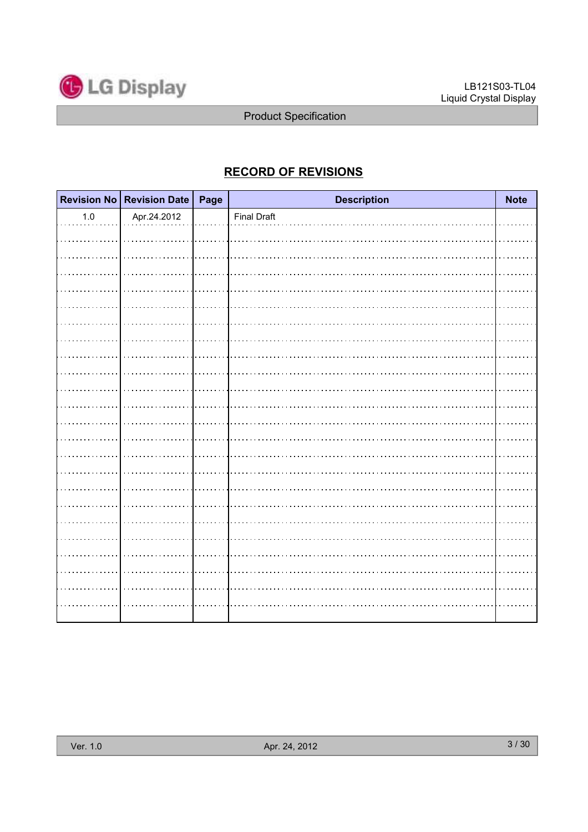

# RECORD OF REVISIONS

|         | Revision No Revision Date   Page | <b>Description</b> | <b>Note</b> |
|---------|----------------------------------|--------------------|-------------|
| $1.0\,$ | Apr.24.2012                      | <b>Final Draft</b> |             |
|         |                                  |                    |             |
|         |                                  |                    |             |
|         |                                  |                    |             |
|         |                                  |                    |             |
|         |                                  |                    |             |
|         |                                  |                    |             |
|         |                                  |                    |             |
|         |                                  |                    |             |
|         |                                  |                    |             |
|         |                                  |                    |             |
|         |                                  |                    |             |
|         |                                  |                    |             |
|         |                                  |                    |             |
|         |                                  |                    |             |
|         |                                  |                    |             |
|         |                                  |                    |             |
|         |                                  |                    |             |
|         |                                  |                    |             |
|         |                                  |                    |             |
|         |                                  |                    |             |
|         |                                  |                    |             |
|         |                                  |                    |             |
|         |                                  |                    |             |
|         |                                  |                    |             |
|         |                                  |                    |             |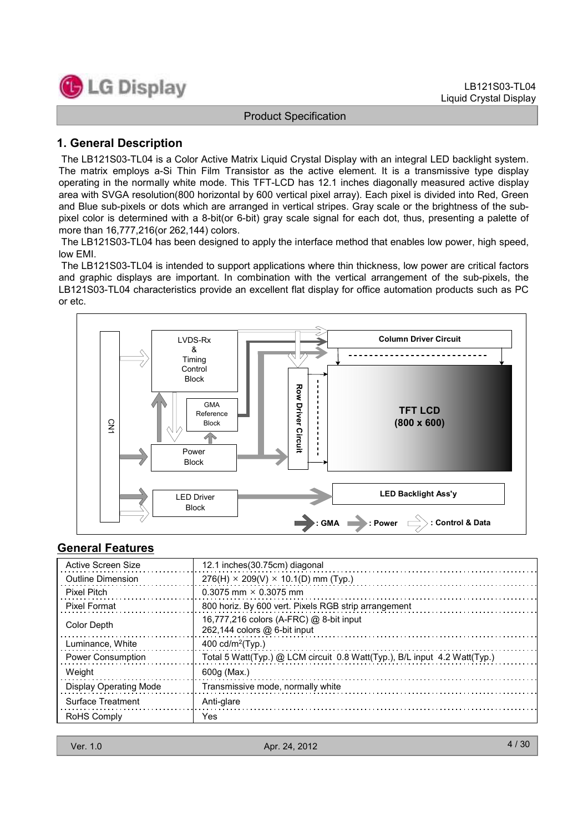

# 1. General Description

The LB121S03-TL04 is a Color Active Matrix Liquid Crystal Display with an integral LED backlight system. The matrix employs a-Si Thin Film Transistor as the active element. It is a transmissive type display operating in the normally white mode. This TFT-LCD has 12.1 inches diagonally measured active display area with SVGA resolution(800 horizontal by 600 vertical pixel array). Each pixel is divided into Red, Green and Blue sub-pixels or dots which are arranged in vertical stripes. Gray scale or the brightness of the subpixel color is determined with a 8-bit(or 6-bit) gray scale signal for each dot, thus, presenting a palette of more than 16,777,216(or 262,144) colors.

The LB121S03-TL04 has been designed to apply the interface method that enables low power, high speed, low EMI.

The LB121S03-TL04 is intended to support applications where thin thickness, low power are critical factors and graphic displays are important. In combination with the vertical arrangement of the sub-pixels, the LB121S03-TL04 characteristics provide an excellent flat display for office automation products such as PC or etc.



# General Features

| Active Screen Size            | 12.1 inches (30.75cm) diagonal                                              |
|-------------------------------|-----------------------------------------------------------------------------|
| Outline Dimension             | $276(H) \times 209(V) \times 10.1(D)$ mm (Typ.)                             |
| <b>Pixel Pitch</b>            | 0.3075 mm $\times$ 0.3075 mm                                                |
| <b>Pixel Format</b>           | 800 horiz. By 600 vert. Pixels RGB strip arrangement                        |
| Color Depth                   | 16,777,216 colors (A-FRC) @ 8-bit input<br>$262,144$ colors $@6$ -bit input |
| Luminance, White              | 400 cd/m <sup>2</sup> (Typ.)                                                |
| <b>Power Consumption</b>      | Total 5 Watt(Typ.) @ LCM circuit 0.8 Watt(Typ.), B/L input 4.2 Watt(Typ.)   |
| Weight                        | 600g (Max.)                                                                 |
| <b>Display Operating Mode</b> | Transmissive mode, normally white                                           |
| Surface Treatment             | Anti-glare                                                                  |
| RoHS Comply                   | Yes                                                                         |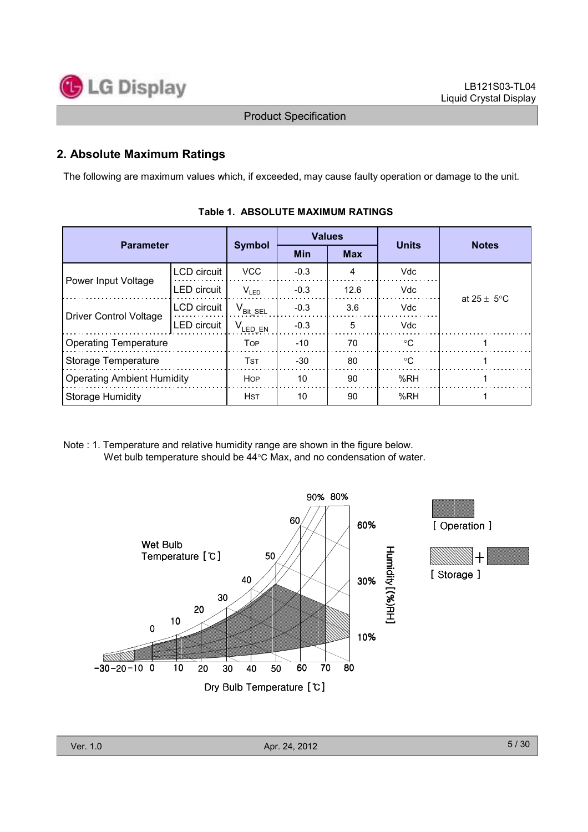

# 2. Absolute Maximum Ratings

The following are maximum values which, if exceeded, may cause faulty operation or damage to the unit.

| <b>Parameter</b>                  |                    |                                                | <b>Values</b> |            | <b>Units</b> | <b>Notes</b>            |  |
|-----------------------------------|--------------------|------------------------------------------------|---------------|------------|--------------|-------------------------|--|
|                                   |                    | <b>Symbol</b>                                  | <b>Min</b>    | <b>Max</b> |              |                         |  |
|                                   | LCD circuit        | <b>VCC</b>                                     | $-0.3$        | 4          | <b>Vdc</b>   |                         |  |
| Power Input Voltage               | <b>LED</b> circuit | $V_{LED}$                                      | $-0.3$        | 12.6       | Vdc          | at $25 \pm 5^{\circ}$ C |  |
| <b>Driver Control Voltage</b>     | LCD circuit        | $\mathsf{V}_{\mathsf{Bit} \, \, \mathsf{SEL}}$ | $-0.3$        | 3.6        | Vdc          |                         |  |
|                                   | LED circuit        | ${\sf V}_{\sf LED\_EN}$                        | $-0.3$        | 5          | Vdc          |                         |  |
| <b>Operating Temperature</b>      |                    | <b>TOP</b>                                     | $-10$         | 70         | ∘C           |                         |  |
| Storage Temperature               |                    | <b>TST</b>                                     | $-30$         | 80         | $^{\circ}C$  |                         |  |
| <b>Operating Ambient Humidity</b> |                    | <b>HOP</b>                                     | 10            | 90         | %RH          |                         |  |
| <b>Storage Humidity</b>           |                    | <b>HST</b>                                     | 10            | 90         | %RH          |                         |  |

| Table 1. ABSOLUTE MAXIMUM RATINGS |
|-----------------------------------|
|                                   |

Note : 1. Temperature and relative humidity range are shown in the figure below. Wet bulb temperature should be 44°C Max, and no condensation of water.

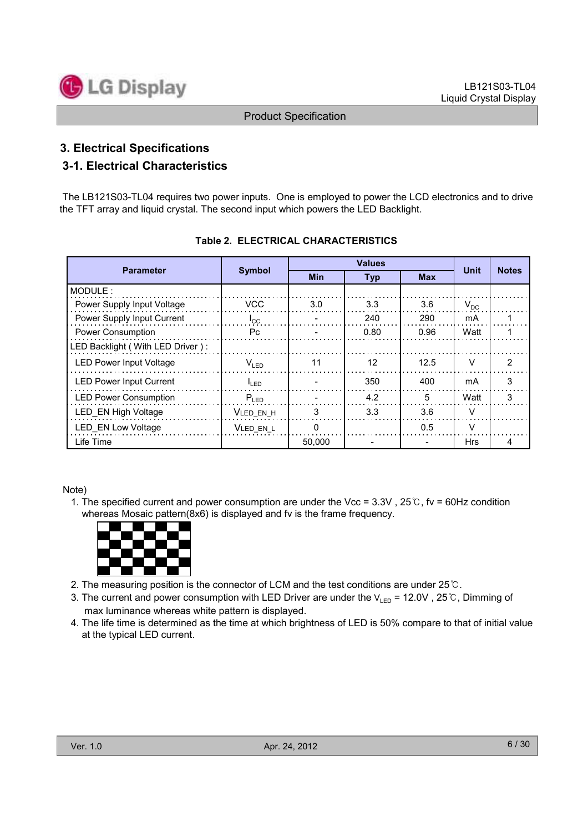

# 3. Electrical Specifications

# 3-1. Electrical Characteristics

The LB121S03-TL04 requires two power inputs. One is employed to power the LCD electronics and to drive the TFT array and liquid crystal. The second input which powers the LED Backlight.

|                                  |                  | <b>Values</b> |                   |            | Unit       |               |
|----------------------------------|------------------|---------------|-------------------|------------|------------|---------------|
| <b>Parameter</b>                 | <b>Symbol</b>    | <b>Min</b>    | <b>Typ</b>        | <b>Max</b> |            | <b>Notes</b>  |
| MODULE:                          |                  |               |                   |            |            |               |
| Power Supply Input Voltage       | VCC.             | 3.0           | 3.3               | 3.6        | $V_{DC}$   |               |
| Power Supply Input Current       | $I_{\rm CC}$     |               | 240               | 290        | mA         |               |
| Power Consumption                | Pc.              |               | 0.80              | 0.96       | Watt       |               |
| LED Backlight (With LED Driver): |                  |               |                   |            |            |               |
| <b>LED Power Input Voltage</b>   | $V_{LED}$        | 11            | $12 \overline{ }$ | 12.5       | $\vee$     | $\mathcal{P}$ |
| <b>LED Power Input Current</b>   | $I_{\text{LED}}$ |               | 350               | 400        | mA         | 3             |
| <b>LED Power Consumption</b>     | $P_{LED}$        |               | 4.2               | 5          | Watt       | 3             |
| LED EN High Voltage              | VLED EN H        | 3             | 3.3               | 3.6        | $\vee$     |               |
| LED EN Low Voltage               | VLED EN L        | $\Omega$      |                   | 0.5        | $\vee$     |               |
| Life Time                        |                  | 50.000        |                   |            | <b>Hrs</b> | 4             |

#### Table 2. ELECTRICAL CHARACTERISTICS

Note)

1. The specified current and power consumption are under the Vcc =  $3.3V$ ,  $25^{\circ}$ C, fv = 60Hz condition whereas Mosaic pattern(8x6) is displayed and fv is the frame frequency.



- 2. The measuring position is the connector of LCM and the test conditions are under  $25^{\circ}$ C.
- 3. The current and power consumption with LED Driver are under the  $V_{LED} = 12.0V$ , 25°C, Dimming of max luminance whereas white pattern is displayed.
- 4. The life time is determined as the time at which brightness of LED is 50% compare to that of initial value at the typical LED current.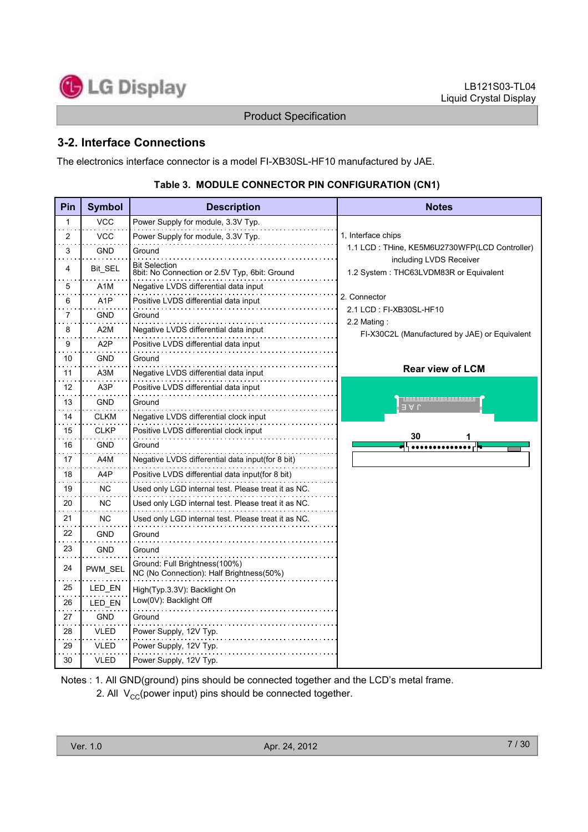

# 3-2. Interface Connections

The electronics interface connector is a model FI-XB30SL-HF10 manufactured by JAE.

| Pin                       | <b>Symbol</b>    | <b>Description</b>                                                        | <b>Notes</b>                                                              |
|---------------------------|------------------|---------------------------------------------------------------------------|---------------------------------------------------------------------------|
| 1<br>$\ddot{\phantom{0}}$ | <b>VCC</b>       | Power Supply for module, 3.3V Typ.                                        |                                                                           |
| 2                         | <b>VCC</b>       | Power Supply for module, 3.3V Typ.                                        | 1, Interface chips                                                        |
| 3                         | <b>GND</b>       | Ground                                                                    | 1.1 LCD: THine, KE5M6U2730WFP(LCD Controller)                             |
| 4                         | Bit_SEL          | <b>Bit Selection</b><br>8bit: No Connection or 2.5V Typ, 6bit: Ground     | including LVDS Receiver<br>1.2 System: THC63LVDM83R or Equivalent         |
| 5                         | A <sub>1</sub> M | Negative LVDS differential data input                                     |                                                                           |
| 6                         | A <sub>1</sub> P | Positive LVDS differential data input                                     | 2. Connector                                                              |
| 7                         | <b>GND</b>       | Ground                                                                    | 2.1 LCD: FI-XB30SL-HF10                                                   |
| 8                         | A2M              | Negative LVDS differential data input                                     | 2.2 Mating:<br>FI-X30C2L (Manufactured by JAE) or Equivalent              |
| 9                         | A2P              | Positive LVDS differential data input                                     |                                                                           |
| 10                        | GND              | Ground                                                                    |                                                                           |
| 11                        | A3M              | Negative LVDS differential data input                                     | Rear view of LCM                                                          |
| 12                        | A3P              | Positive LVDS differential data input                                     |                                                                           |
| 13                        | <b>GND</b>       | Ground                                                                    | <u>proton and a company of the second second second and</u><br>$J \vee F$ |
| 14                        | <b>CLKM</b>      | Negative LVDS differential clock input                                    |                                                                           |
| 15                        | <b>CLKP</b>      | Positive LVDS differential clock input                                    | 30<br>1                                                                   |
| 16                        | GND              | Ground                                                                    |                                                                           |
| 17                        | A4M              | Negative LVDS differential data input(for 8 bit)                          |                                                                           |
| 18                        | A4P              | Positive LVDS differential data input(for 8 bit)                          |                                                                           |
| 19                        | NC.              | Used only LGD internal test. Please treat it as NC.                       |                                                                           |
| 20                        | <b>NC</b>        | Used only LGD internal test. Please treat it as NC.                       |                                                                           |
| 21                        | <b>NC</b>        | Used only LGD internal test. Please treat it as NC.                       |                                                                           |
| 22                        | <b>GND</b>       | Ground                                                                    |                                                                           |
| 23                        | <b>GND</b>       | Ground                                                                    |                                                                           |
| 24                        | PWM_SEL          | Ground: Full Brightness(100%)<br>NC (No Connection): Half Brightness(50%) |                                                                           |
| 25                        | LED_EN           | High(Typ.3.3V): Backlight On                                              |                                                                           |
| 26                        | LED EN           | Low(0V): Backlight Off                                                    |                                                                           |
| 27                        | <b>GND</b>       | Ground                                                                    |                                                                           |
| 28                        | VLED             | Power Supply, 12V Typ.                                                    |                                                                           |
| 29                        | VLED             | Power Supply, 12V Typ.                                                    |                                                                           |
| 30                        | <b>VLED</b>      | Power Supply, 12V Typ.                                                    |                                                                           |

#### Table 3. MODULE CONNECTOR PIN CONFIGURATION (CN1)

Notes : 1. All GND(ground) pins should be connected together and the LCD's metal frame.

2. All  $V_{CC}$ (power input) pins should be connected together.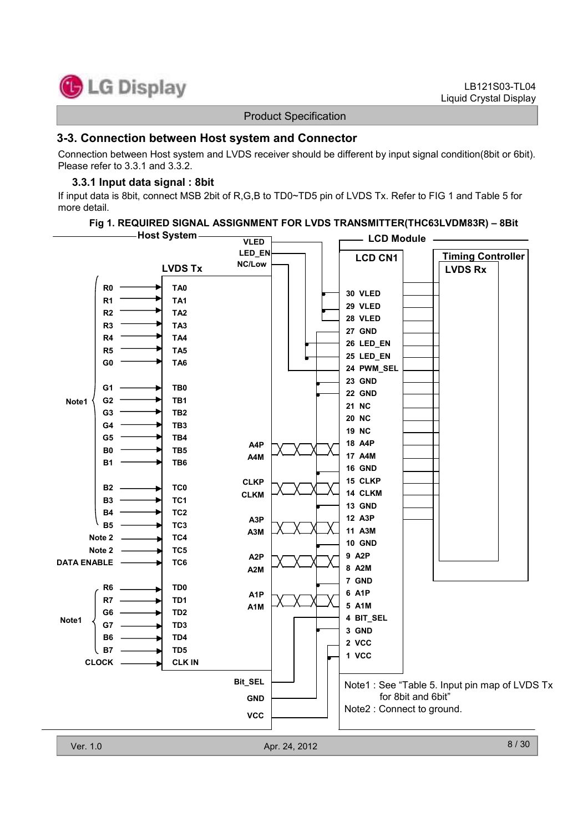

#### 3-3. Connection between Host system and Connector

Connection between Host system and LVDS receiver should be different by input signal condition(8bit or 6bit). Please refer to 3.3.1 and 3.3.2.

#### 3.3.1 Input data signal : 8bit

If input data is 8bit, connect MSB 2bit of R,G,B to TD0~TD5 pin of LVDS Tx. Refer to FIG 1 and Table 5 for more detail.

#### Fig 1. REQUIRED SIGNAL ASSIGNMENT FOR LVDS TRANSMITTER(THC63LVDM83R) – 8Bit

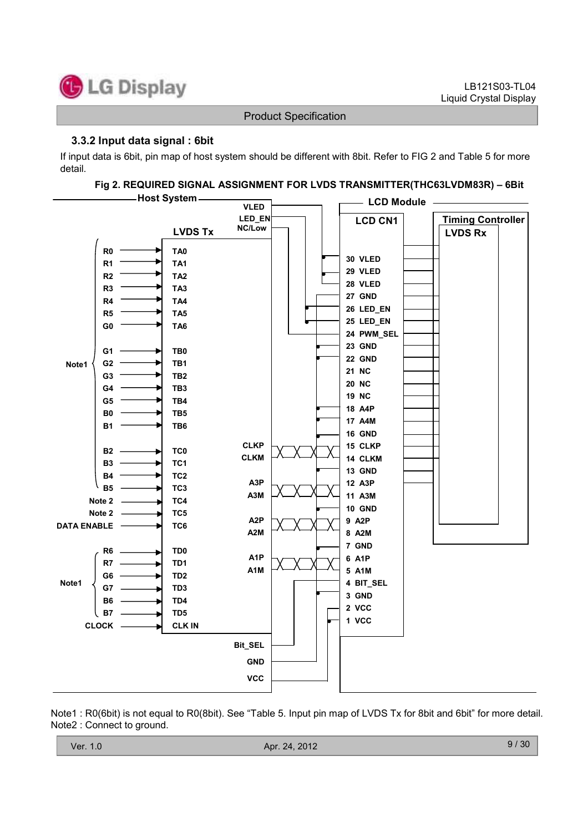

#### 3.3.2 Input data signal : 6bit

If input data is 6bit, pin map of host system should be different with 8bit. Refer to FIG 2 and Table 5 for more detail.

#### Fig 2. REQUIRED SIGNAL ASSIGNMENT FOR LVDS TRANSMITTER(THC63LVDM83R) – 6Bit



Note1 : R0(6bit) is not equal to R0(8bit). See "Table 5. Input pin map of LVDS Tx for 8bit and 6bit" for more detail. Note2 : Connect to ground.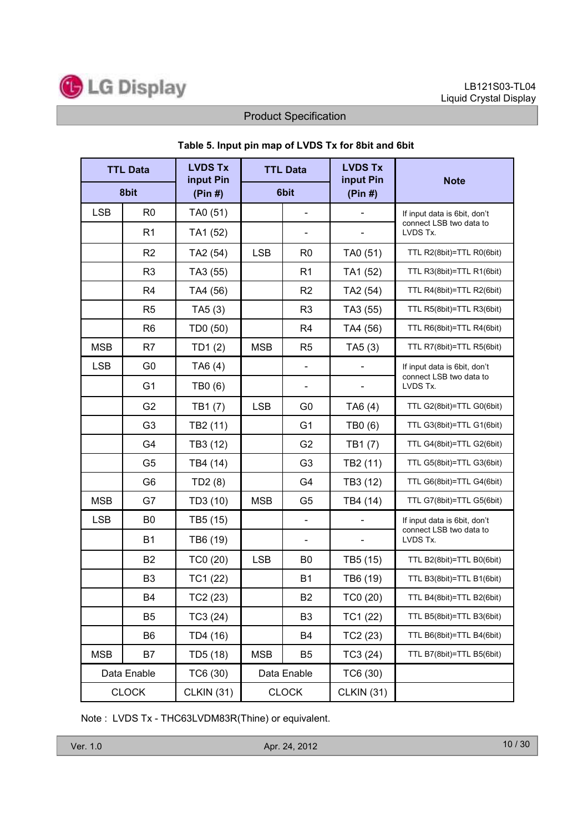

| <b>TTL Data</b> |                | <b>LVDS Tx</b><br>input Pin |            | <b>TTL Data</b>              | <b>LVDS Tx</b><br>input Pin | <b>Note</b>                         |
|-----------------|----------------|-----------------------------|------------|------------------------------|-----------------------------|-------------------------------------|
|                 | 8bit           | (Pin #)                     | 6bit       |                              | (Pin #)                     |                                     |
| <b>LSB</b>      | R <sub>0</sub> | TA0 (51)                    |            | $\frac{1}{2}$                |                             | If input data is 6bit, don't        |
|                 | R1             | TA1 (52)                    |            |                              |                             | connect LSB two data to<br>LVDS Tx. |
|                 | R <sub>2</sub> | TA2 (54)                    | <b>LSB</b> | R <sub>0</sub>               | TA0 (51)                    | TTL R2(8bit)=TTL R0(6bit)           |
|                 | R <sub>3</sub> | TA3 (55)                    |            | R <sub>1</sub>               | TA1 (52)                    | TTL R3(8bit)=TTL R1(6bit)           |
|                 | R <sub>4</sub> | TA4 (56)                    |            | R <sub>2</sub>               | TA2 (54)                    | TTL R4(8bit)=TTL R2(6bit)           |
|                 | R <sub>5</sub> | TA5(3)                      |            | R <sub>3</sub>               | TA3 (55)                    | TTL R5(8bit)=TTL R3(6bit)           |
|                 | R <sub>6</sub> | TD0 (50)                    |            | R4                           | TA4 (56)                    | TTL R6(8bit)=TTL R4(6bit)           |
| <b>MSB</b>      | R <sub>7</sub> | TD1(2)                      | <b>MSB</b> | R <sub>5</sub>               | TA5(3)                      | TTL R7(8bit)=TTL R5(6bit)           |
| <b>LSB</b>      | G <sub>0</sub> | TA6 (4)                     |            | $\qquad \qquad \blacksquare$ |                             | If input data is 6bit, don't        |
|                 | G <sub>1</sub> | TB0 (6)                     |            |                              |                             | connect LSB two data to<br>LVDS Tx. |
|                 | G <sub>2</sub> | TB1(7)                      | <b>LSB</b> | G <sub>0</sub>               | TA6 (4)                     | TTL G2(8bit)=TTL G0(6bit)           |
|                 | G <sub>3</sub> | TB2 (11)                    |            | G <sub>1</sub>               | TB0 (6)                     | TTL G3(8bit)=TTL G1(6bit)           |
|                 | G4             | TB3 (12)                    |            | G <sub>2</sub>               | TB1(7)                      | TTL G4(8bit)=TTL G2(6bit)           |
|                 | G <sub>5</sub> | TB4 (14)                    |            | G <sub>3</sub>               | TB2 (11)                    | TTL G5(8bit)=TTL G3(6bit)           |
|                 | G <sub>6</sub> | TD2(8)                      |            | G4                           | TB3 (12)                    | TTL G6(8bit)=TTL G4(6bit)           |
| <b>MSB</b>      | G7             | TD3 (10)                    | <b>MSB</b> | G <sub>5</sub>               | TB4 (14)                    | TTL G7(8bit)=TTL G5(6bit)           |
| <b>LSB</b>      | B <sub>0</sub> | TB5 (15)                    |            | $\overline{\phantom{0}}$     |                             | If input data is 6bit, don't        |
|                 | <b>B1</b>      | TB6 (19)                    |            |                              |                             | connect LSB two data to<br>LVDS Tx. |
|                 | <b>B2</b>      | TC0 (20)                    | <b>LSB</b> | B <sub>0</sub>               | TB5 (15)                    | TTL B2(8bit)=TTL B0(6bit)           |
|                 | B <sub>3</sub> | TC1 (22)                    |            | <b>B1</b>                    | TB6 (19)                    | TTL B3(8bit)=TTL B1(6bit)           |
|                 | B4             | TC2 (23)                    |            | <b>B2</b>                    | TC0 (20)                    | TTL B4(8bit)=TTL B2(6bit)           |
|                 | B <sub>5</sub> | TC3 (24)                    |            | B <sub>3</sub>               | TC1 (22)                    | TTL B5(8bit)=TTL B3(6bit)           |
|                 | B6             | TD4 (16)                    |            | B4                           | TC2 (23)                    | TTL B6(8bit)=TTL B4(6bit)           |
| <b>MSB</b>      | B7             | TD5 (18)                    | <b>MSB</b> | B5                           | TC3(24)                     | TTL B7(8bit)=TTL B5(6bit)           |
|                 | Data Enable    | TC6 (30)                    |            | Data Enable                  | TC6 (30)                    |                                     |
|                 | <b>CLOCK</b>   | <b>CLKIN (31)</b>           |            | <b>CLOCK</b>                 | <b>CLKIN (31)</b>           |                                     |

#### Table 5. Input pin map of LVDS Tx for 8bit and 6bit

Note : LVDS Tx - THC63LVDM83R(Thine) or equivalent.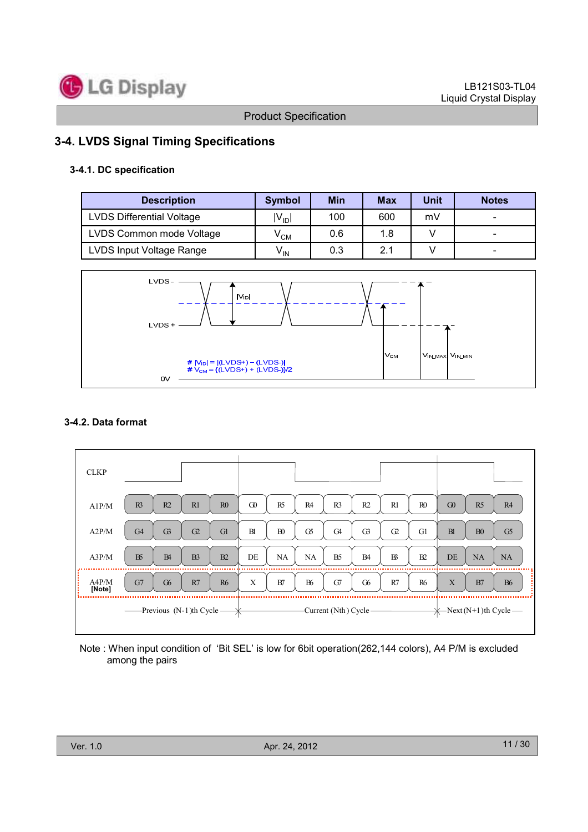

# 3-4. LVDS Signal Timing Specifications

#### 3-4.1. DC specification

| <b>Description</b>               | <b>Symbol</b>              | <b>Min</b> | <b>Max</b> | Unit | <b>Notes</b> |
|----------------------------------|----------------------------|------------|------------|------|--------------|
| <b>LVDS Differential Voltage</b> | $ V_{ID} $                 | 100        | 600        | mV   |              |
| LVDS Common mode Voltage         | $\mathsf{v}_{\mathsf{CM}}$ | 0.6        | 1.8        |      |              |
| LVDS Input Voltage Range         | $V_{\text{IN}}$            | 0.3        | 2.1        |      |              |



#### 3-4.2. Data format



Note : When input condition of 'Bit SEL' is low for 6bit operation(262,144 colors), A4 P/M is excluded among the pairs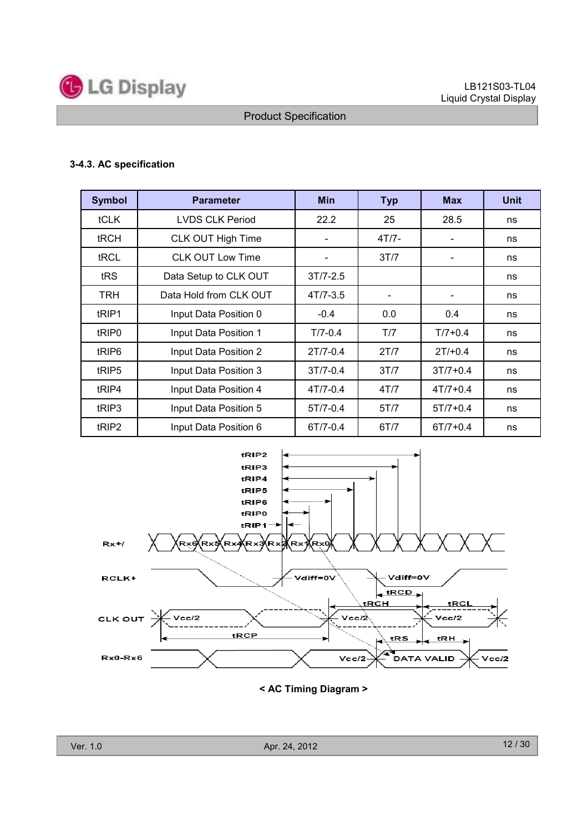

#### 3-4.3. AC specification

| <b>Symbol</b>     | <b>Parameter</b>        | <b>Min</b>   | <b>Typ</b>               | <b>Max</b>               | <b>Unit</b> |
|-------------------|-------------------------|--------------|--------------------------|--------------------------|-------------|
| tCLK              | <b>LVDS CLK Period</b>  | 22.2         | 25                       | 28.5                     | ns          |
| tRCH              | CLK OUT High Time       |              | $4T/7 -$                 |                          | ns          |
| tRCL              | <b>CLK OUT Low Time</b> |              | 3T/7                     |                          | ns          |
| tRS               | Data Setup to CLK OUT   | $3T/7 - 2.5$ |                          |                          | ns          |
| TRH               | Data Hold from CLK OUT  | $4T/7 - 3.5$ | $\overline{\phantom{a}}$ | $\overline{\phantom{a}}$ | ns          |
| tRIP1             | Input Data Position 0   | $-0.4$       | 0.0                      | 0.4                      | ns          |
| tRIP <sub>0</sub> | Input Data Position 1   | $T/7 - 0.4$  | T/7                      | $T/7 + 0.4$              | ns          |
| tRIP <sub>6</sub> | Input Data Position 2   | $2T/7-0.4$   | 2T/7                     | $2T/+0.4$                | ns          |
| tRIP <sub>5</sub> | Input Data Position 3   | $3T/7 - 0.4$ | 3T/7                     | $3T/7 + 0.4$             | ns          |
| tRIP4             | Input Data Position 4   | $4T/7-0.4$   | 4T/7                     | $4T/7 + 0.4$             | ns          |
| tRIP3             | Input Data Position 5   | $5T/7-0.4$   | 5T/7                     | $5T/7 + 0.4$             | ns          |
| tRIP <sub>2</sub> | Input Data Position 6   | 6T/7-0.4     | 6T/7                     | $6T/7 + 0.4$             | ns          |



< AC Timing Diagram >

Ver. 1.0 Apr. 24, 2012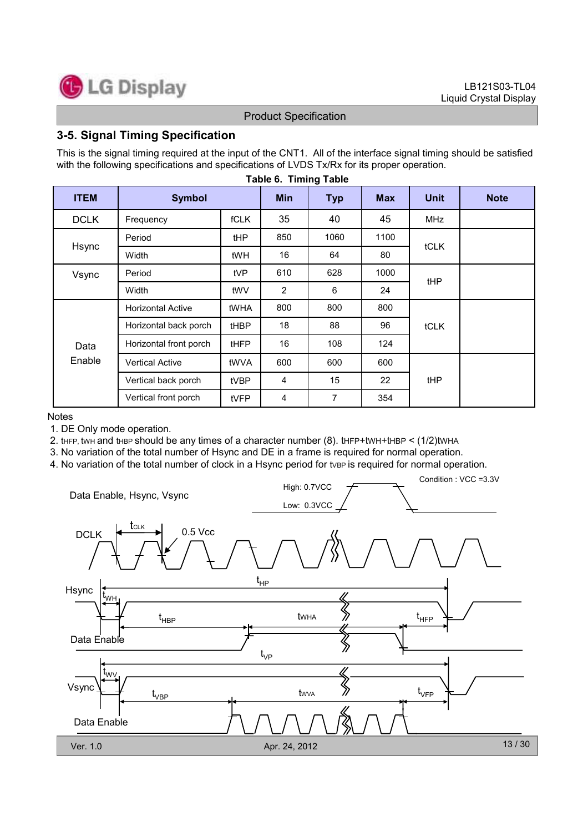

### 3-5. Signal Timing Specification

This is the signal timing required at the input of the CNT1. All of the interface signal timing should be satisfied with the following specifications and specifications of LVDS Tx/Rx for its proper operation.

| <b>ITEM</b> | <b>Symbol</b>            |             | <b>Min</b>     | <b>Typ</b> | <b>Max</b> | <b>Unit</b> | <b>Note</b> |
|-------------|--------------------------|-------------|----------------|------------|------------|-------------|-------------|
| <b>DCLK</b> | Frequency                | <b>fCLK</b> | 35             | 40         | 45         | MHz         |             |
|             | Period                   | tHP         | 850            | 1060       | 1100       |             |             |
| Hsync       | Width                    | tWH         | 16             | 64         | 80         | tCLK        |             |
| Vsync       | Period                   | tVP         | 610            | 628        | 1000       | tHP         |             |
|             | Width                    | tWV         | $\overline{2}$ | 6          | 24         |             |             |
|             | <b>Horizontal Active</b> | tWHA        | 800            | 800        | 800        |             |             |
|             | Horizontal back porch    | tHBP        | 18             | 88         | 96         | tCLK        |             |
| Data        | Horizontal front porch   | <b>tHFP</b> | 16             | 108        | 124        |             |             |
| Enable      | <b>Vertical Active</b>   | tWVA        | 600            | 600        | 600        |             |             |
|             | Vertical back porch      | tVBP        | 4              | 15         | 22         | tHP         |             |
|             | Vertical front porch     | tVFP        | 4              | 7          | 354        |             |             |

#### Table 6. Timing Table

#### **Notes**

1. DE Only mode operation.

2. tHFP, twh and thee should be any times of a character number  $(8)$ , tHFP+tWH+tHBP <  $(1/2)$ tWHA

3. No variation of the total number of Hsync and DE in a frame is required for normal operation.

4. No variation of the total number of clock in a Hsync period for type is required for normal operation.

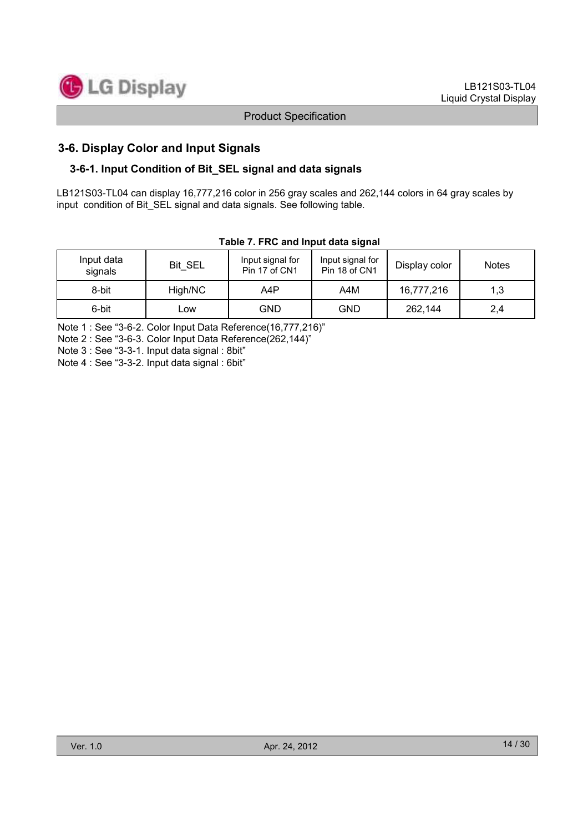

# 3-6. Display Color and Input Signals

#### 3-6-1. Input Condition of Bit\_SEL signal and data signals

LB121S03-TL04 can display 16,777,216 color in 256 gray scales and 262,144 colors in 64 gray scales by input condition of Bit SEL signal and data signals. See following table.

| Input data<br>signals | Bit SEL | Input signal for<br>Pin 17 of CN1 | Input signal for<br>Pin 18 of CN1 | Display color | <b>Notes</b> |  |  |  |  |  |  |
|-----------------------|---------|-----------------------------------|-----------------------------------|---------------|--------------|--|--|--|--|--|--|
| 8-bit                 | High/NC | A4P                               | A4M                               | 16,777,216    | 1,3          |  |  |  |  |  |  |
| 6-bit                 | Low     | GND.                              | GND                               | 262,144       | 2,4          |  |  |  |  |  |  |

#### Table 7. FRC and Input data signal

Note 1 : See "3-6-2. Color Input Data Reference(16,777,216)"

Note 2 : See "3-6-3. Color Input Data Reference(262,144)"

Note 3 : See "3-3-1. Input data signal : 8bit"

Note 4 : See "3-3-2. Input data signal : 6bit"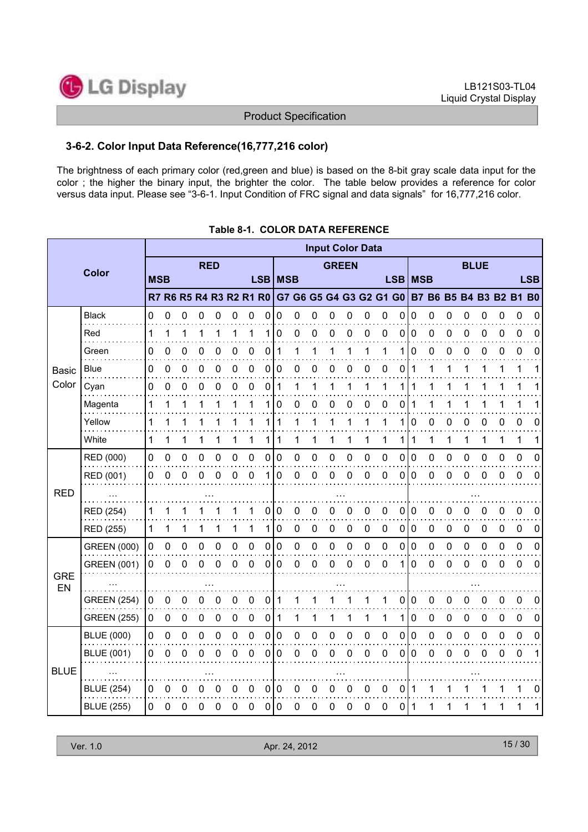

#### 3-6-2. Color Input Data Reference(16,777,216 color)

The brightness of each primary color (red,green and blue) is based on the 8-bit gray scale data input for the color ; the higher the binary input, the brighter the color. The table below provides a reference for color versus data input. Please see "3-6-1. Input Condition of FRC signal and data signals" for 16,777,216 color.

|                  |                    |            |             |   |            |          |   |             |   |             |   |   |                  |              | <b>Input Color Data</b> |             |           |             |             |             |   |             |             |                                                                         |            |
|------------------|--------------------|------------|-------------|---|------------|----------|---|-------------|---|-------------|---|---|------------------|--------------|-------------------------|-------------|-----------|-------------|-------------|-------------|---|-------------|-------------|-------------------------------------------------------------------------|------------|
|                  | Color              |            |             |   | <b>RED</b> |          |   |             |   |             |   |   |                  | <b>GREEN</b> |                         |             |           |             |             |             |   | <b>BLUE</b> |             |                                                                         |            |
|                  |                    | <b>MSB</b> |             |   |            |          |   |             |   | LSB   MSB   |   |   |                  |              |                         |             | LSB   MSB |             |             |             |   |             |             |                                                                         | <b>LSB</b> |
|                  |                    |            |             |   |            |          |   |             |   |             |   |   |                  |              |                         |             |           |             |             |             |   |             |             | R7 R6 R5 R4 R3 R2 R1 R0 G7 G6 G5 G4 G3 G2 G1 G0 B7 B6 B5 B4 B3 B2 B1 B0 |            |
|                  | <b>Black</b>       | 0          | 0           | 0 | 0          | 0        | 0 | 0           | 0 | 0           | 0 | 0 | 0                | 0            | 0                       | 0           | 0         | 0           | 0           | 0           | 0 | 0           | 0           | 0                                                                       | 0          |
|                  | Red                | 1          | 1           |   | 1          | 1        |   |             |   | 0           | 0 | 0 | 0                | 0            | 0                       | 0           | 0         | $\mathbf 0$ | 0           | 0           | 0 | 0           | 0           | 0                                                                       | 0          |
|                  | Green              | 0          | 0           | 0 | 0          | 0        | 0 | 0           | 0 | 1           | 1 | 1 |                  |              |                         |             | 1         | 0           | 0           | 0           | 0 | 0           | 0           | 0                                                                       | 0          |
| <b>Basic</b>     | Blue               | 0          | 0           | 0 | 0          | 0        | 0 | 0           | 0 | 0           | 0 | 0 | 0                | 0            | 0                       | 0           | 0         | 1           |             |             |   |             |             |                                                                         |            |
| Color            | Cyan               | 0          | 0           | 0 | 0          | 0        | 0 | 0           | 0 | 1           | 1 | 1 |                  | 1            | 1                       | 1           | 1         | 1           | 1           |             | 1 | 1           | 1           |                                                                         | 1          |
|                  | Magenta            | 1          | 1           |   |            |          |   |             | 1 | 0           | 0 | 0 | $\boldsymbol{0}$ | 0            | 0                       | 0           | 0         | 1           | 1           |             |   |             |             |                                                                         | 1          |
|                  | Yellow             | 1          | 1           |   |            |          |   |             |   | 1           | 1 | 1 |                  |              | 1                       |             | 1         | 0           | 0           | 0           | 0 | 0           | 0           | 0                                                                       | 0          |
|                  | White              | 1          | 1           | 1 | 1          | 1        | 1 | 1           | 1 | 1           | 1 | 1 | 1                | 1            | 1                       | 1           | 1         | 1           | 1           | 1           | 1 | 1           | 1           | 1                                                                       | 1          |
|                  | RED (000)          | 0          | 0           | 0 | 0          | 0        | 0 | 0           | 0 | 0           | 0 | 0 | 0                | 0            | 0                       | 0           | 0         | 0           | 0           | 0           | 0 | 0           | 0           | 0                                                                       | 0          |
|                  | RED (001)          | 0          | 0           | 0 | $\Omega$   | $\Omega$ | 0 | $\mathbf 0$ | 1 | 0           | 0 | 0 | 0                | 0            | 0                       | 0           | 0         | 0           | 0           | 0           | 0 | 0           | 0           | 0                                                                       | 0          |
| <b>RED</b>       |                    |            |             |   |            |          |   |             |   |             |   |   |                  |              |                         |             |           |             |             |             |   |             |             |                                                                         |            |
|                  | RED (254)          | 1          |             |   |            |          |   |             | 0 | 0           | 0 | 0 | ი                | 0            | 0                       | 0           | 0         | 0           | 0           | 0           | 0 | 0           | 0           | 0                                                                       | 0          |
|                  | RED (255)          | 1          | 1           |   |            |          | 1 | 1           | 1 | 0           | 0 | 0 | 0                | 0            | 0                       | $\mathbf 0$ | 0         | $\mathbf 0$ | $\mathbf 0$ | $\mathbf 0$ | 0 | 0           | 0           | 0                                                                       | 0          |
|                  | <b>GREEN (000)</b> | 0          | 0           | 0 | 0          | 0        | 0 | $\pmb{0}$   | 0 | 0           | 0 | 0 | 0                | 0            | 0                       | 0           | 0         | $\pmb{0}$   | 0           | 0           | 0 | 0           | 0           | $\mathbf 0$                                                             | 0          |
|                  | <b>GREEN (001)</b> | 0          | 0           | 0 | 0          | 0        | 0 | 0           | 0 | 0           | 0 | 0 | 0                | 0            | 0                       | 0           | 1         | 0           | 0           | 0           | 0 | 0           | 0           | 0                                                                       | 0          |
| <b>GRE</b><br>EN |                    |            |             |   |            |          |   |             |   |             |   |   |                  |              |                         |             |           |             |             |             |   |             |             |                                                                         |            |
|                  | <b>GREEN (254)</b> | 0          | 0           | 0 | 0          | 0        | 0 | 0           | 0 | 1           |   |   |                  |              |                         |             | $\pmb{0}$ | 0           | 0           | 0           | 0 | 0           | 0           | 0                                                                       | 0          |
|                  | <b>GREEN (255)</b> | 0          | $\mathbf 0$ | 0 | 0          | 0        | 0 | 0           | 0 | 1           | 1 | 1 | 1                | 1            | 1                       | 1           | 1         | $\mathbf 0$ | $\pmb{0}$   | $\mathbf 0$ | 0 | 0           | $\mathbf 0$ | 0                                                                       | 0          |
|                  | <b>BLUE (000)</b>  | 0          | 0           | 0 | 0          | 0        | 0 | 0           | 0 | 0           | 0 | 0 | 0                | 0            | 0                       | 0           | $\pmb{0}$ | $\mathbf 0$ | 0           | 0           | 0 | 0           | 0           | 0                                                                       | 0          |
|                  | <b>BLUE (001)</b>  | 0          | 0           | 0 | 0          | 0        | 0 | 0           | 0 | 0           | 0 | 0 | O                | 0            | 0                       | 0           | 0         | 0           | 0           | 0           | 0 | 0           | 0           | 0                                                                       | 1          |
| <b>BLUE</b>      |                    |            |             |   |            |          |   |             |   |             |   |   |                  |              |                         |             |           |             |             |             |   |             |             |                                                                         |            |
|                  | <b>BLUE (254)</b>  | 0          | 0           | 0 | 0          | 0        | 0 | 0           | 0 | 0           | 0 | 0 | 0                | 0            | 0                       | 0           | 0         | 1           |             |             |   |             |             |                                                                         | 0          |
|                  | <b>BLUE (255)</b>  | 0          | 0           | 0 | 0          | 0        | 0 | $\pmb{0}$   | 0 | $\mathbf 0$ | 0 | 0 | 0                | 0            | 0                       | 0           | 0         | 1           | 1           | 1           | 1 | 1           | 1           | 1                                                                       | 1          |

# Table 8-1. COLOR DATA REFERENCE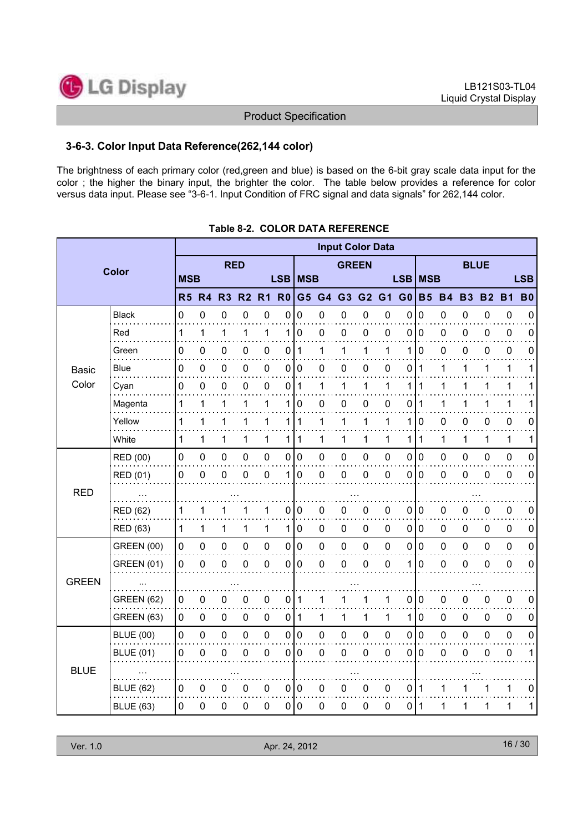

#### 3-6-3. Color Input Data Reference(262,144 color)

The brightness of each primary color (red,green and blue) is based on the 6-bit gray scale data input for the color ; the higher the binary input, the brighter the color. The table below provides a reference for color versus data input. Please see "3-6-1. Input Condition of FRC signal and data signals" for 262,144 color.

|              | <b>Input Color Data</b> |              |                  |             |                |                     |                  |                         |             |              |                     |                          |                |                |             |             |                |                  |             |
|--------------|-------------------------|--------------|------------------|-------------|----------------|---------------------|------------------|-------------------------|-------------|--------------|---------------------|--------------------------|----------------|----------------|-------------|-------------|----------------|------------------|-------------|
|              | <b>Color</b>            |              |                  | <b>RED</b>  |                |                     |                  |                         |             | <b>GREEN</b> |                     |                          |                |                |             | <b>BLUE</b> |                |                  |             |
|              |                         | <b>MSB</b>   |                  |             |                |                     |                  | LSB   MSB<br><b>LSB</b> |             |              |                     | <b>MSB</b><br><b>LSB</b> |                |                |             |             |                |                  |             |
|              |                         | <b>R5 R4</b> |                  | R3          | R <sub>2</sub> | R <sub>1</sub>      | R <sub>0</sub>   | G5                      | G4          | G3           | G <sub>2</sub>      | G1                       | G <sub>0</sub> | <b>B5</b>      | <b>B4</b>   | <b>B3</b>   | B <sub>2</sub> | <b>B1</b>        | <b>B0</b>   |
|              | <b>Black</b>            | 0            | $\mathbf 0$      | $\mathsf 0$ | $\mathbf 0$    | $\mathbf 0$         | $\mathbf 0$      | 0                       | 0           | $\mathbf 0$  | $\pmb{0}$           | $\boldsymbol{0}$         | 0              | $\mathbf 0$    | $\mathsf 0$ | 0           | $\mathbf 0$    | $\pmb{0}$        | $\mathbf 0$ |
|              | Red                     | 1            | $\mathbf 1$      | 1           | 1              | 1                   | 1                | 0                       | 0           | $\pmb{0}$    | $\pmb{0}$           | $\mathbf 0$              | $\mathbf 0$    | $\mathbf 0$    | $\pmb{0}$   | 0           | $\pmb{0}$      | $\pmb{0}$        | $\mathbf 0$ |
|              | Green                   | 0            | 0                | 0           | 0              | 0                   | 0                | 1                       | 1           | 1            | 1                   | 1                        | 1              | 0              | 0           | 0           | 0              | $\boldsymbol{0}$ | 0           |
| <b>Basic</b> | Blue                    | 0            | $\mathbf 0$      | 0           | 0              | $\pmb{0}$           |                  | 0 0                     | 0           | $\mathbf 0$  | $\pmb{0}$           | $\mathbf 0$              | $\mathbf 0$    | $\mathbf 1$    | 1           | 1           | 1              | $\mathbf 1$      | 1           |
| Color        | Cyan                    | 0            | $\boldsymbol{0}$ | $\mathbf 0$ | $\mathbf 0$    | $\pmb{0}$           | 0                | 1                       | 1           | 1            | 1                   | 1                        | 1              | 1              | 1           | 1           | 1              | $\mathbf 1$      | 1           |
|              | Magenta                 | 1            | 1                | 1           | 1              | 1                   | 1                | 0                       | 0           | $\mathbf 0$  | $\pmb{0}$           | 0                        | 0              | 1              | 1           | 1           | 1              | $\mathbf 1$      | 1           |
|              | Yellow                  | 1            | 1                | 1           | 1              | 1                   | 1                | 1                       | 1           | 1            | 1                   | 1                        | 1              | 0              | $\mathbf 0$ | 0           | 0              | $\pmb{0}$        | 0           |
|              | White                   | 1            | 1                | 1           | 1              | 1                   | 1                | 1                       | 1           | 1            | 1                   | 1                        | 1              | 1              | 1           | 1           | 1              | $\mathbf 1$      | 1           |
|              | RED (00)                | $\mathsf 0$  | $\pmb{0}$        | $\pmb{0}$   | $\mathbf 0$    | $\pmb{0}$           | $\overline{0}$   | $\pmb{0}$               | $\pmb{0}$   | $\pmb{0}$    | $\mathsf 0$         | 0                        | $\mathbf 0$    | $\overline{0}$ | $\mathbf 0$ | 0           | $\pmb{0}$      | $\mathbf 0$      | $\mathbf 0$ |
|              | <b>RED (01)</b>         | 0            | 0                | 0           | $\mathbf 0$    | $\mathbf 0$         | 1                | 0                       | 0           | $\mathbf 0$  | 0                   | 0                        | $\mathbf 0$    | $\mathbf 0$    | $\mathbf 0$ | 0           | $\mathbf 0$    | $\pmb{0}$        | $\mathbf 0$ |
| <b>RED</b>   |                         |              |                  |             |                |                     |                  |                         |             |              |                     |                          |                |                |             |             |                |                  |             |
|              | <b>RED (62)</b>         | 1            | 1                | 1           | 1              | 1                   | $\mathbf 0$      | 0                       | 0           | 0            | 0                   | $\mathbf 0$              | $\mathbf 0$    | $\mathbf 0$    | $\mathbf 0$ | 0           | 0              | $\pmb{0}$        | $\mathbf 0$ |
|              | <b>RED (63)</b>         | 1            | 1                | 1           | 1              | 1                   | 1                | 0                       | $\mathbf 0$ | $\mathbf 0$  | $\pmb{0}$           | $\mathbf 0$              | $\pmb{0}$      | $\mathbf 0$    | $\mathbf 0$ | 0           | $\mathbf 0$    | $\pmb{0}$        | $\mathbf 0$ |
|              | <b>GREEN (00)</b>       | 0            | $\mathbf 0$      | 0           | $\mathbf 0$    | $\mathbf 0$         | $\mathbf 0$      | $\pmb{0}$               | $\pmb{0}$   | $\mathbf 0$  | $\pmb{0}$           | $\mathbf 0$              | $\mathbf 0$    | $\mathbf 0$    | $\mathsf 0$ | 0           | $\mathbf 0$    | $\pmb{0}$        | $\mathbf 0$ |
|              | <b>GREEN (01)</b>       | 0            | $\mathbf 0$      | $\pmb{0}$   | $\mathbf 0$    | $\mathsf{O}\xspace$ | $\mathbf 0$      | 0                       | 0           | $\mathbf 0$  | $\mathsf{O}\xspace$ | $\mathbf 0$              | 1              | $\mathbf 0$    | $\pmb{0}$   | $\pmb{0}$   | $\pmb{0}$      | $\mathbf 0$      | $\mathbf 0$ |
| <b>GREEN</b> |                         |              |                  |             |                |                     |                  |                         |             |              |                     |                          |                |                |             |             |                |                  |             |
|              | <b>GREEN (62)</b>       | 0            | $\mathbf 0$      | 0           | 0              | $\pmb{0}$           |                  | 0 1                     | 1           | 1            | 1                   | 1                        | $\pmb{0}$      | $\mathbf 0$    | $\pmb{0}$   | $\pmb{0}$   | $\mathbf 0$    | $\boldsymbol{0}$ | $\mathbf 0$ |
|              | <b>GREEN (63)</b>       | 0            | $\mathbf 0$      | $\pmb{0}$   | $\mathbf 0$    | $\mathbf 0$         | 0                | $\mathbf{1}$            | 1           | 1            | $\mathbf{1}$        | 1                        | 1              | $\mathbf 0$    | $\pmb{0}$   | $\mathbf 0$ | 0              | $\pmb{0}$        | $\mathbf 0$ |
|              | <b>BLUE (00)</b>        | $\mathbf 0$  | $\pmb{0}$        | $\pmb{0}$   | $\mathbf 0$    | $\pmb{0}$           | $\boldsymbol{0}$ | $\pmb{0}$               | $\pmb{0}$   | $\pmb{0}$    | $\pmb{0}$           | $\mathbf 0$              | $\mathbf 0$    | $\pmb{0}$      | $\mathbf 0$ | 0           | $\pmb{0}$      | $\mathbf 0$      | $\mathbf 0$ |
| <b>BLUE</b>  | <b>BLUE (01)</b>        | 0            | $\mathbf 0$      | 0           | $\mathbf 0$    | 0                   | 0                | 0                       | 0           | 0            | $\mathbf 0$         | 0                        | 0              | 0              | 0           | 0           | $\mathbf 0$    | $\mathbf 0$      | 1           |
|              | $\cdots$                |              |                  |             |                |                     |                  |                         |             |              |                     |                          |                |                |             |             |                |                  |             |
|              | <b>BLUE (62)</b>        | 0            | $\boldsymbol{0}$ | 0           | 0              | $\pmb{0}$           |                  | 0 0                     | 0           | $\pmb{0}$    | $\pmb{0}$           | 0                        | $\pmb{0}$      | $\vert$ 1      | 1           | 1           | 1              | $\mathbf 1$      | $\mathbf 0$ |
|              | <b>BLUE (63)</b>        | 0            | $\mathbf 0$      | $\mathbf 0$ | $\mathbf 0$    | $\mathbf 0$         |                  | 0 0                     | 0           | $\mathbf 0$  | $\mathbf 0$         | 0                        | 0              | $\vert$ 1      | 1           | 1           | 1              | $\mathbf{1}$     | 1           |

#### Table 8-2. COLOR DATA REFERENCE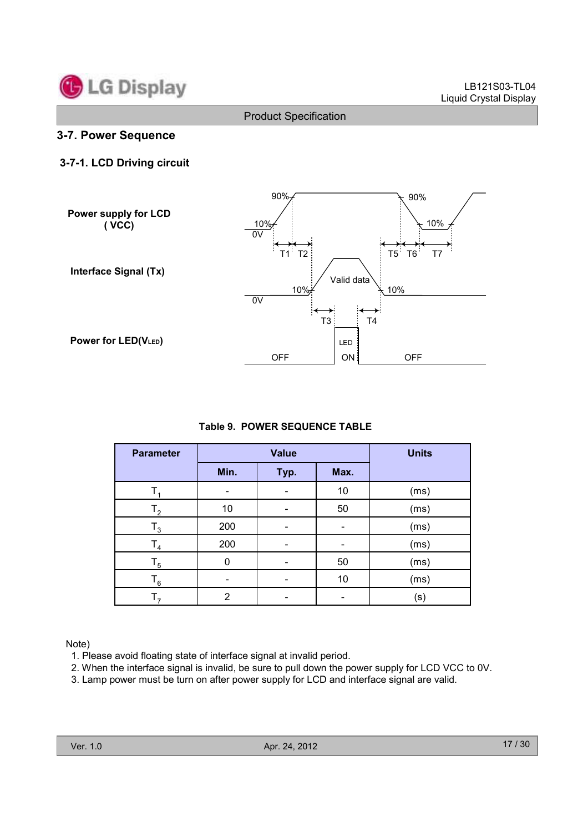

#### 3-7. Power Sequence

### 3-7-1. LCD Driving circuit



#### Table 9. POWER SEQUENCE TABLE

| <b>Parameter</b> |                | <b>Value</b> |      | <b>Units</b> |
|------------------|----------------|--------------|------|--------------|
|                  | Min.           | Typ.         | Max. |              |
|                  |                |              | 10   | (ms)         |
| $\mathsf{T}_2$   | 10             |              | 50   | (ms)         |
| $\mathsf{T}_3$   | 200            |              |      | (ms)         |
| $\mathsf{T}_4$   | 200            |              |      | (ms)         |
| $\mathsf{T}_5$   | 0              |              | 50   | (ms)         |
| $\mathsf{T}_6$   |                |              | 10   | (ms)         |
|                  | $\overline{2}$ |              |      | (s)          |

Note)

1. Please avoid floating state of interface signal at invalid period.

2. When the interface signal is invalid, be sure to pull down the power supply for LCD VCC to 0V.

3. Lamp power must be turn on after power supply for LCD and interface signal are valid.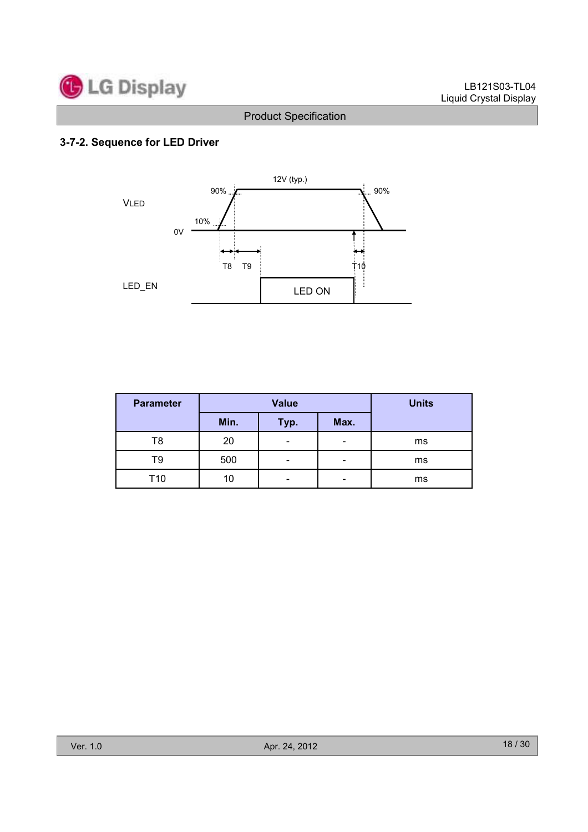

# 3-7-2. Sequence for LED Driver



| <b>Parameter</b> |      | <b>Value</b>             | <b>Units</b>             |    |
|------------------|------|--------------------------|--------------------------|----|
|                  | Min. | Typ.                     | Max.                     |    |
| T8               | 20   | $\overline{\phantom{0}}$ | -                        | ms |
| Т9               | 500  | -                        | $\overline{\phantom{0}}$ | ms |
| T10              | 10   | -                        | -                        | ms |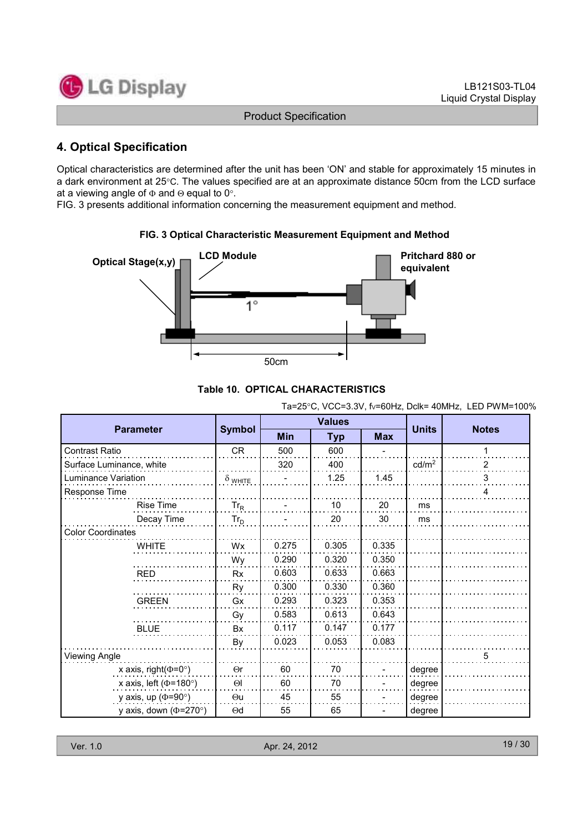

# 4. Optical Specification

Optical characteristics are determined after the unit has been 'ON' and stable for approximately 15 minutes in a dark environment at 25°C. The values specified are at an approximate distance 50cm from the LCD surface at a viewing angle of  $\Phi$  and  $\Theta$  equal to 0°.

FIG. 3 presents additional information concerning the measurement equipment and method.



#### FIG. 3 Optical Characteristic Measurement Equipment and Method

#### Table 10. OPTICAL CHARACTERISTICS

Ta=25°C, VCC=3.3V, fV=60Hz, Dclk= 40MHz, LED PWM=100%

| <b>Parameter</b>             |                |            | <b>Values</b> | <b>Units</b> | <b>Notes</b>      |   |
|------------------------------|----------------|------------|---------------|--------------|-------------------|---|
|                              | <b>Symbol</b>  | <b>Min</b> | <b>Typ</b>    | <b>Max</b>   |                   |   |
| <b>Contrast Ratio</b>        | <b>CR</b>      | 500        | 600           |              |                   | 1 |
| Surface Luminance, white     |                | 320        | 400           |              | cd/m <sup>2</sup> | 2 |
| Luminance Variation          | $\delta$ wніте |            | 1.25          | 1.45         |                   | 3 |
| Response Time                |                |            |               |              |                   | 4 |
| <b>Rise Time</b>             | $Tr_R$         |            | 10            | 20           | ms                |   |
| Decay Time                   | $Tr_D$         |            | 20            | 30           | ms                |   |
| <b>Color Coordinates</b>     |                |            |               |              |                   |   |
| <b>WHITE</b>                 | Wx             | 0.275      | 0.305         | 0.335        |                   |   |
|                              | Wy             | 0.290      | 0.320         | 0.350        |                   |   |
| <b>RED</b>                   | <b>Rx</b>      | 0.603      | 0.633         | 0.663        |                   |   |
|                              | Ry             | 0.300      | 0.330         | 0.360        |                   |   |
| <b>GREEN</b>                 | Gx             | 0.293      | 0.323         | 0.353        |                   |   |
|                              | Gy             | 0.583      | 0.613         | 0.643        |                   |   |
| <b>BLUE</b>                  | <b>Bx</b>      | 0.117      | 0.147         | 0.177        |                   |   |
|                              | By             | 0.023      | 0.053         | 0.083        |                   |   |
| <b>Viewing Angle</b>         |                |            |               |              |                   | 5 |
| x axis, right( $\Phi$ =0°)   | $\Theta$ r     | 60         | 70            |              | degree            |   |
| x axis, left ( $\Phi$ =180°) | $\Theta$       | 60         | 70            |              | degree            |   |
| y axis, up ( $\Phi$ =90°)    | $\Theta$ u     | 45         | 55            |              | degree            |   |
| y axis, down ( $\Phi$ =270°) | $\Theta$ d     | 55         | 65            |              | degree            |   |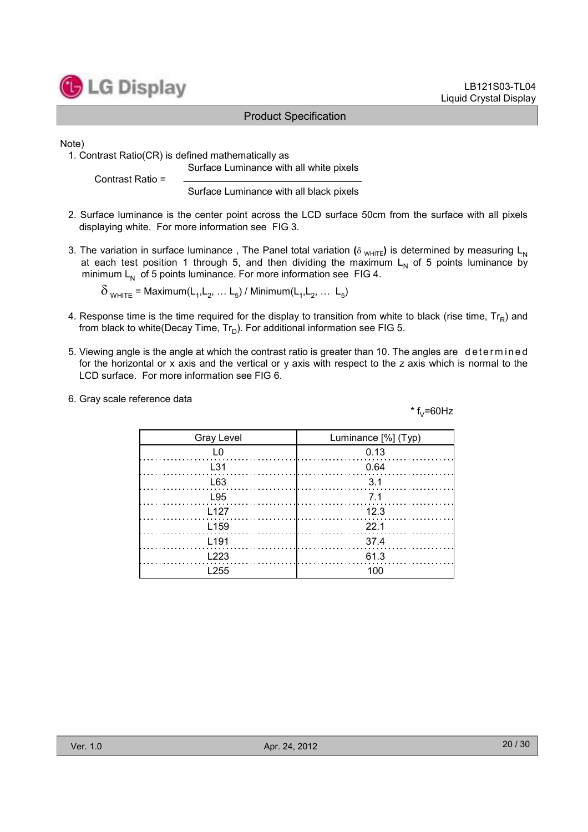

#### LB121S03-TL04 Liquid Crystal Display

#### Product Specification

Note)

1. Contrast Ratio(CR) is defined mathematically as Surface Luminance with all white pixels

Contrast Ratio =

Surface Luminance with all black pixels

- 2. Surface luminance is the center point across the LCD surface 50cm from the surface with all pixels displaying white. For more information see FIG 3.
- 3. The variation in surface luminance, The Panel total variation ( $\delta$  WHITE) is determined by measuring L<sub>N</sub> at each test position 1 through 5, and then dividing the maximum  $L<sub>N</sub>$  of 5 points luminance by minimum  $L_N$  of 5 points luminance. For more information see FIG 4.

 $\delta_{\text{WHITE}}$  = Maximum(L<sub>1</sub>, L<sub>2</sub>, ... L<sub>5</sub>) / Minimum(L<sub>1</sub>, L<sub>2</sub>, ... L<sub>5</sub>)

- 4. Response time is the time required for the display to transition from white to black (rise time,  $Tr_R$ ) and from black to white(Decay Time,  $Tr_D$ ). For additional information see FIG 5.
- 5. Viewing angle is the angle at which the contrast ratio is greater than 10. The angles are determined for the horizontal or x axis and the vertical or y axis with respect to the z axis which is normal to the LCD surface. For more information see FIG 6.
- 6. Gray scale reference data

 $*$  f<sub>v</sub>=60Hz

| Gray Level       | Luminance [%] (Typ) |
|------------------|---------------------|
| L0               | 0.13                |
| L31              | 0.64                |
| L63              | - 3.1               |
| L95              | 7.1                 |
| L127             | 12.3                |
| L <sub>159</sub> | 22.1                |
| L <sub>191</sub> | 37.4                |
| 1223             | 61.3                |
| l 255            |                     |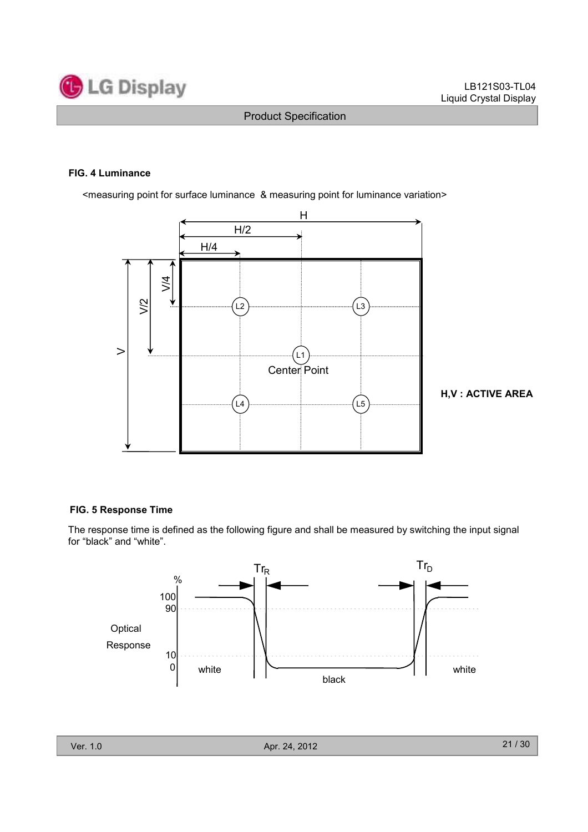

#### FIG. 4 Luminance

<measuring point for surface luminance & measuring point for luminance variation>



H,V : ACTIVE AREA

#### FIG. 5 Response Time

The response time is defined as the following figure and shall be measured by switching the input signal for "black" and "white".

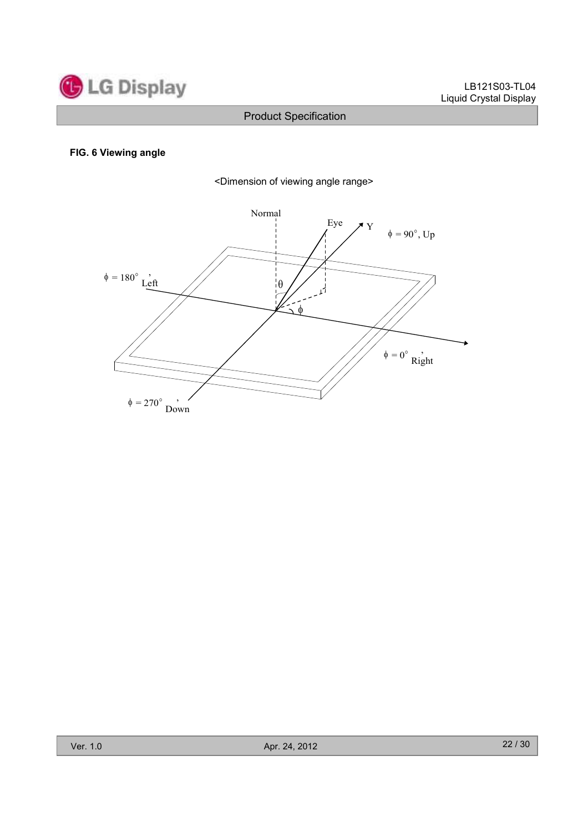

#### FIG. 6 Viewing angle



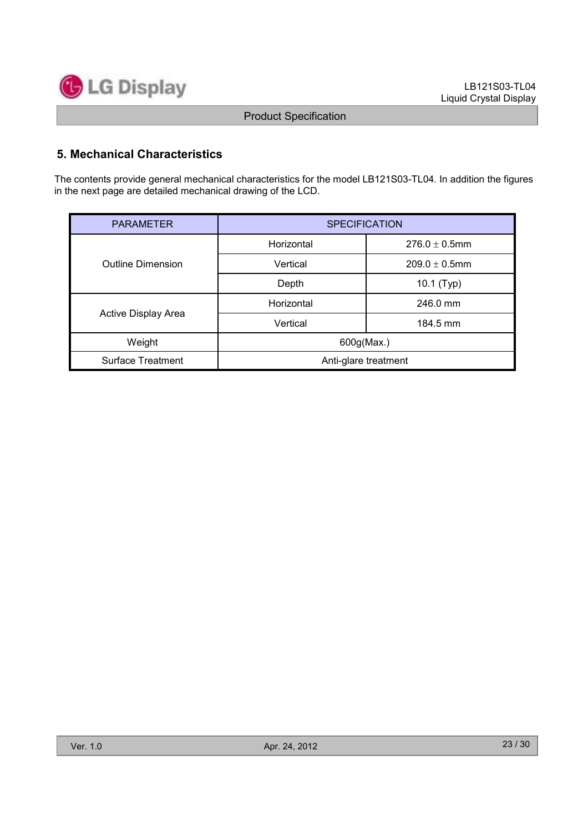

# 5. Mechanical Characteristics

The contents provide general mechanical characteristics for the model LB121S03-TL04. In addition the figures in the next page are detailed mechanical drawing of the LCD.

| <b>PARAMETER</b>         | <b>SPECIFICATION</b> |                    |  |  |  |
|--------------------------|----------------------|--------------------|--|--|--|
|                          | Horizontal           | $276.0 \pm 0.5$ mm |  |  |  |
| <b>Outline Dimension</b> | Vertical             | $209.0 \pm 0.5$ mm |  |  |  |
|                          | Depth                | 10.1 (Typ)         |  |  |  |
|                          | Horizontal           | 246.0 mm           |  |  |  |
| Active Display Area      | Vertical             | 184.5 mm           |  |  |  |
| Weight                   | 600g(Max.)           |                    |  |  |  |
| <b>Surface Treatment</b> | Anti-glare treatment |                    |  |  |  |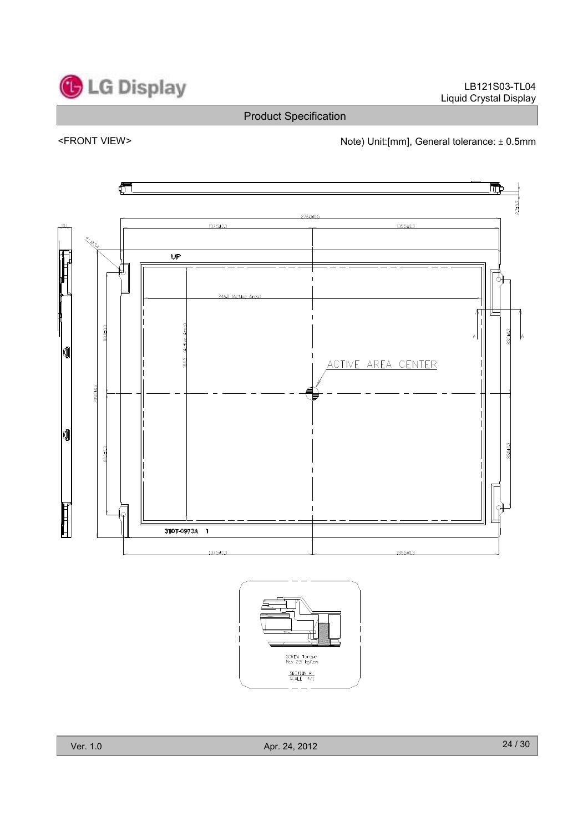LB121S03-TL04 Liquid Crystal Display

# Product Specification

<FRONT VIEW>  $\blacksquare$  Note) Unit:[mm], General tolerance:  $\pm$  0.5mm



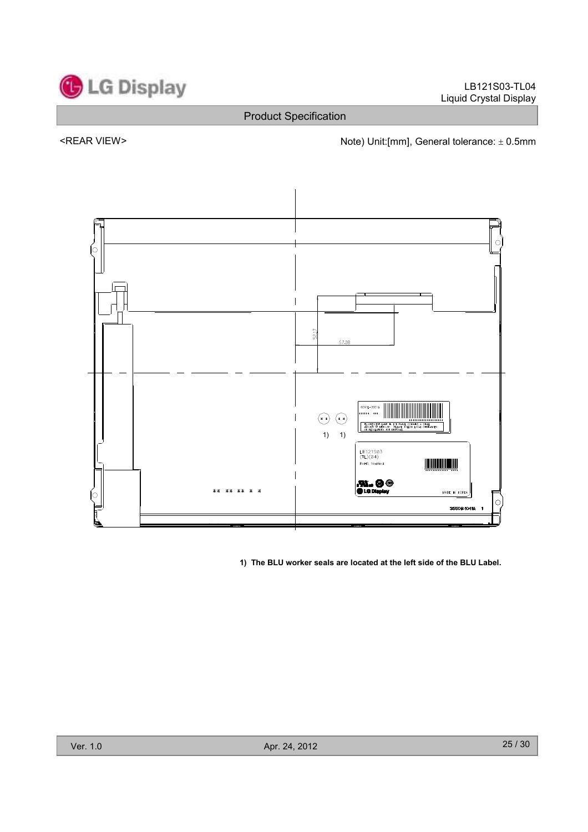

<REAR VIEW> Note) Unit:[mm], General tolerance: ± 0.5mm



1) The BLU worker seals are located at the left side of the BLU Label.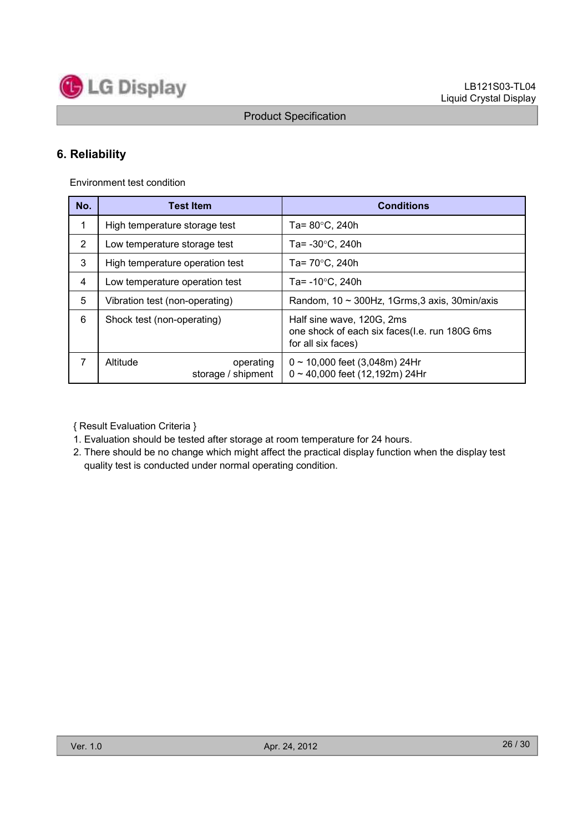

# 6. Reliability

Environment test condition

| No.            | <b>Test Item</b>                            | <b>Conditions</b>                                                                                |
|----------------|---------------------------------------------|--------------------------------------------------------------------------------------------------|
| 1              | High temperature storage test               | Ta= 80°C, 240h                                                                                   |
| $\overline{2}$ | Low temperature storage test                | Ta= $-30^{\circ}$ C, 240h                                                                        |
| 3              | High temperature operation test             | Ta= 70°C, 240h                                                                                   |
| 4              | Low temperature operation test              | Ta= $-10^{\circ}$ C, 240h                                                                        |
| 5              | Vibration test (non-operating)              | Random, $10 \sim 300$ Hz, 1Grms, 3 axis, 30min/axis                                              |
| 6              | Shock test (non-operating)                  | Half sine wave, 120G, 2ms<br>one shock of each six faces(I.e. run 180G 6ms<br>for all six faces) |
| 7              | Altitude<br>operating<br>storage / shipment | $0 \sim 10,000$ feet (3,048m) 24Hr<br>$0 \sim 40,000$ feet (12,192m) 24Hr                        |

{ Result Evaluation Criteria }

1. Evaluation should be tested after storage at room temperature for 24 hours.

2. There should be no change which might affect the practical display function when the display test quality test is conducted under normal operating condition.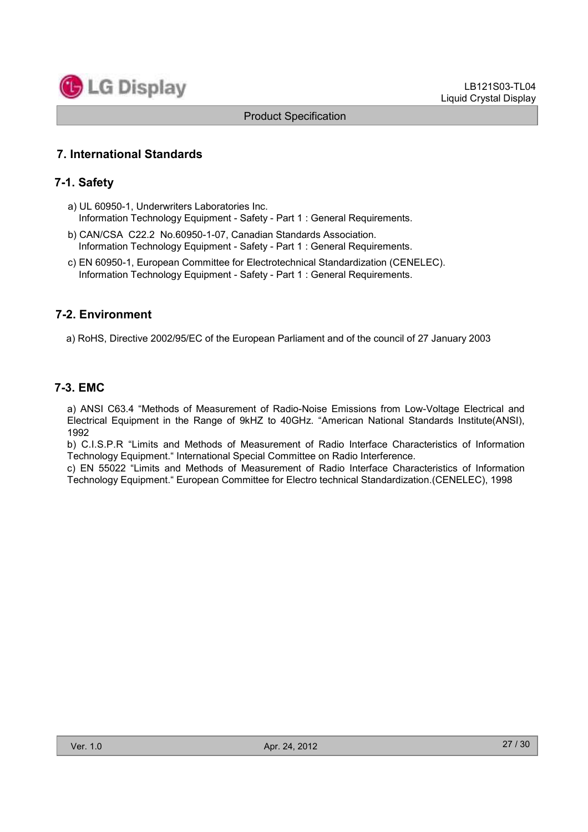

# 7. International Standards

### 7-1. Safety

- a) UL 60950-1, Underwriters Laboratories Inc. Information Technology Equipment - Safety - Part 1 : General Requirements.
- b) CAN/CSA C22.2 No.60950-1-07, Canadian Standards Association. Information Technology Equipment - Safety - Part 1 : General Requirements.
- c) EN 60950-1, European Committee for Electrotechnical Standardization (CENELEC). Information Technology Equipment - Safety - Part 1 : General Requirements.

#### 7-2. Environment

a) RoHS, Directive 2002/95/EC of the European Parliament and of the council of 27 January 2003

# 7-3. EMC

a) ANSI C63.4 "Methods of Measurement of Radio-Noise Emissions from Low-Voltage Electrical and Electrical Equipment in the Range of 9kHZ to 40GHz. "American National Standards Institute(ANSI), 1992

b) C.I.S.P.R "Limits and Methods of Measurement of Radio Interface Characteristics of Information Technology Equipment." International Special Committee on Radio Interference.

c) EN 55022 "Limits and Methods of Measurement of Radio Interface Characteristics of Information Technology Equipment." European Committee for Electro technical Standardization.(CENELEC), 1998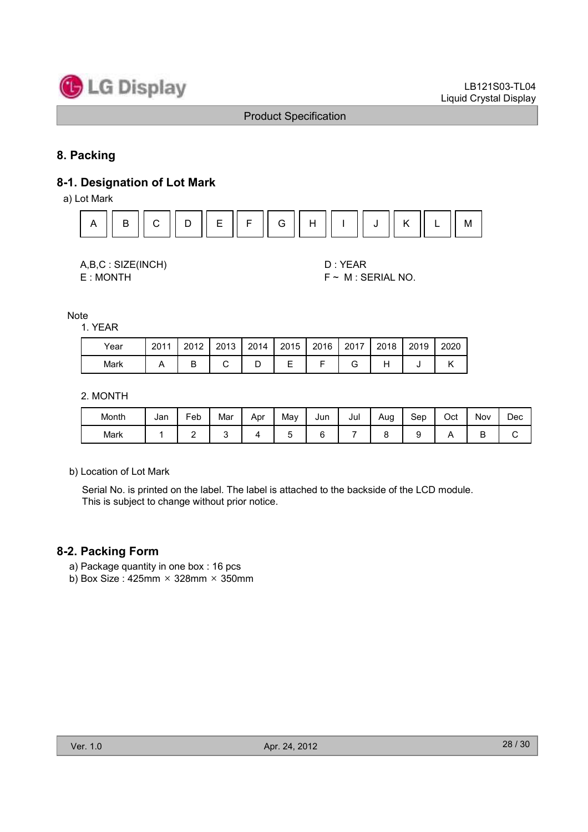

# 8. Packing

# 8-1. Designation of Lot Mark

a) Lot Mark



A,B,C : SIZE(INCH) D : YEAR

 $E: MONTH$   $F \sim M : SERIAL NO.$ 

Note

| Year | 2011 | 2012 | 2013 | 2014 | 2015 | 2016 | 2017 | 2018 | 2019 | 2020 |
|------|------|------|------|------|------|------|------|------|------|------|
| Mark |      |      |      | ◡    | –    |      |      |      |      |      |

2. MONTH

| Month | Jan | -<br>Feb | Mar | Apr | May | Jun | Jul | Aug | Sep | Oct | Nov | Dec |
|-------|-----|----------|-----|-----|-----|-----|-----|-----|-----|-----|-----|-----|
| Mark  |     | -        |     |     |     |     |     |     |     |     | ◡   | ັ   |

b) Location of Lot Mark

Serial No. is printed on the label. The label is attached to the backside of the LCD module. This is subject to change without prior notice.

#### 8-2. Packing Form

- a) Package quantity in one box : 16 pcs
- b) Box Size : 425mm  $\times$  328mm  $\times$  350mm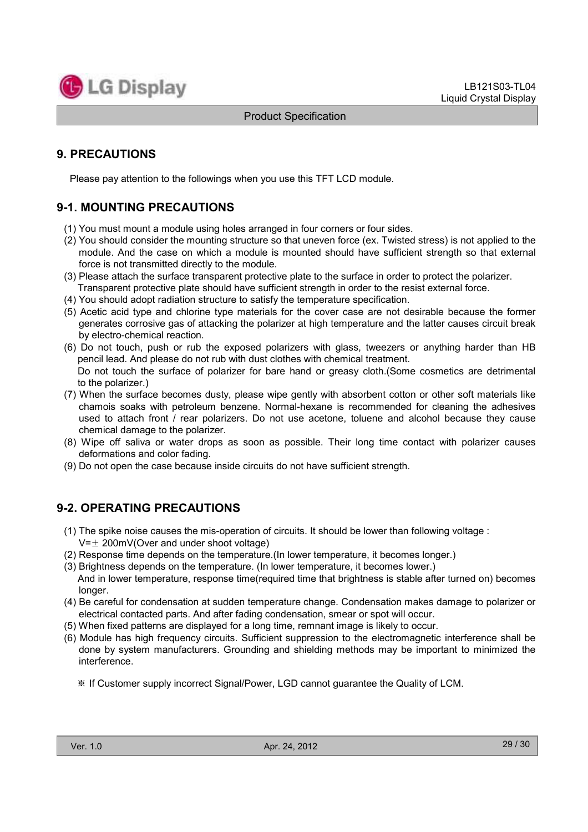

# 9. PRECAUTIONS

Please pay attention to the followings when you use this TFT LCD module.

# 9-1. MOUNTING PRECAUTIONS

- (1) You must mount a module using holes arranged in four corners or four sides.
- (2) You should consider the mounting structure so that uneven force (ex. Twisted stress) is not applied to the module. And the case on which a module is mounted should have sufficient strength so that external force is not transmitted directly to the module.
- (3) Please attach the surface transparent protective plate to the surface in order to protect the polarizer. Transparent protective plate should have sufficient strength in order to the resist external force.
- (4) You should adopt radiation structure to satisfy the temperature specification.
- (5) Acetic acid type and chlorine type materials for the cover case are not desirable because the former generates corrosive gas of attacking the polarizer at high temperature and the latter causes circuit break by electro-chemical reaction.
- (6) Do not touch, push or rub the exposed polarizers with glass, tweezers or anything harder than HB pencil lead. And please do not rub with dust clothes with chemical treatment. Do not touch the surface of polarizer for bare hand or greasy cloth.(Some cosmetics are detrimental to the polarizer.)
- (7) When the surface becomes dusty, please wipe gently with absorbent cotton or other soft materials like chamois soaks with petroleum benzene. Normal-hexane is recommended for cleaning the adhesives used to attach front / rear polarizers. Do not use acetone, toluene and alcohol because they cause chemical damage to the polarizer.
- (8) Wipe off saliva or water drops as soon as possible. Their long time contact with polarizer causes deformations and color fading.
- (9) Do not open the case because inside circuits do not have sufficient strength.

# 9-2. OPERATING PRECAUTIONS

- (1) The spike noise causes the mis-operation of circuits. It should be lower than following voltage :  $V=\pm 200$ mV(Over and under shoot voltage)
- (2) Response time depends on the temperature.(In lower temperature, it becomes longer.)
- (3) Brightness depends on the temperature. (In lower temperature, it becomes lower.)
- And in lower temperature, response time(required time that brightness is stable after turned on) becomes longer.
- (4) Be careful for condensation at sudden temperature change. Condensation makes damage to polarizer or electrical contacted parts. And after fading condensation, smear or spot will occur.
- (5) When fixed patterns are displayed for a long time, remnant image is likely to occur.
- (6) Module has high frequency circuits. Sufficient suppression to the electromagnetic interference shall be done by system manufacturers. Grounding and shielding methods may be important to minimized the interference.
	- If Customer supply incorrect Signal/Power, LGD cannot guarantee the Quality of LCM.